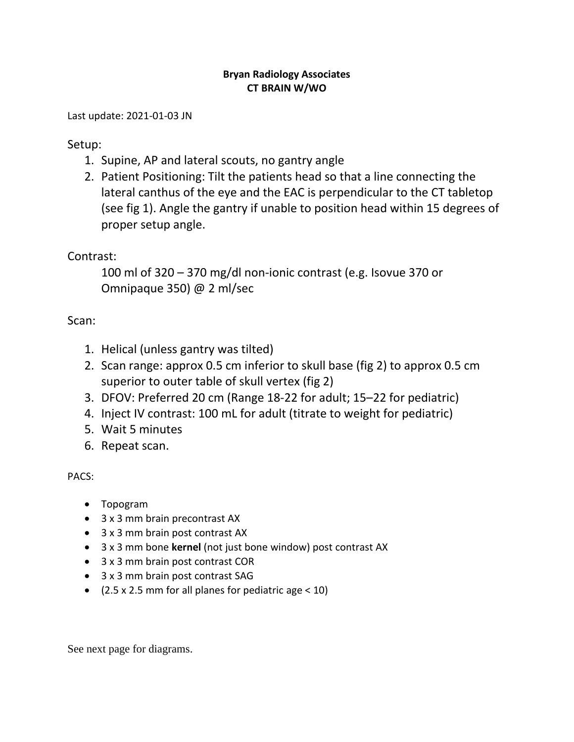## **Bryan Radiology Associates CT BRAIN W/WO**

Last update: 2021-01-03 JN

Setup:

- 1. Supine, AP and lateral scouts, no gantry angle
- 2. Patient Positioning: Tilt the patients head so that a line connecting the lateral canthus of the eye and the EAC is perpendicular to the CT tabletop (see fig 1). Angle the gantry if unable to position head within 15 degrees of proper setup angle.

## Contrast:

100 ml of 320 – 370 mg/dl non-ionic contrast (e.g. Isovue 370 or Omnipaque 350) @ 2 ml/sec

## Scan:

- 1. Helical (unless gantry was tilted)
- 2. Scan range: approx 0.5 cm inferior to skull base (fig 2) to approx 0.5 cm superior to outer table of skull vertex (fig 2)
- 3. DFOV: Preferred 20 cm (Range 18-22 for adult; 15–22 for pediatric)
- 4. Inject IV contrast: 100 mL for adult (titrate to weight for pediatric)
- 5. Wait 5 minutes
- 6. Repeat scan.

PACS:

- Topogram
- 3 x 3 mm brain precontrast AX
- 3 x 3 mm brain post contrast AX
- 3 x 3 mm bone **kernel** (not just bone window) post contrast AX
- 3 x 3 mm brain post contrast COR
- 3 x 3 mm brain post contrast SAG
- $(2.5 \times 2.5 \text{ mm}$  for all planes for pediatric age < 10)

See next page for diagrams.